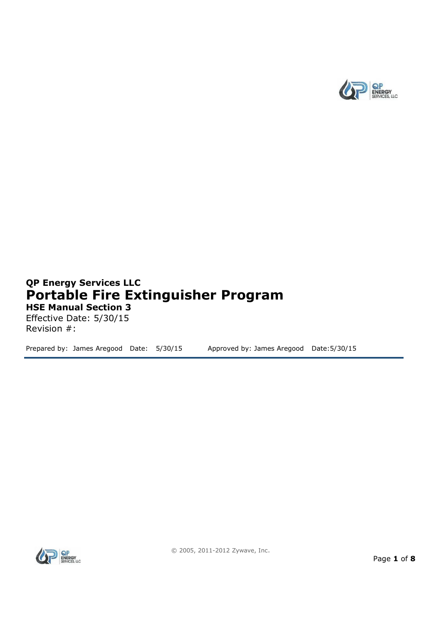

# **QP Energy Services LLC Portable Fire Extinguisher Program HSE Manual Section 3**

Effective Date: 5/30/15 Revision #:

Prepared by: James Aregood Date: 5/30/15 Approved by: James Aregood Date: 5/30/15

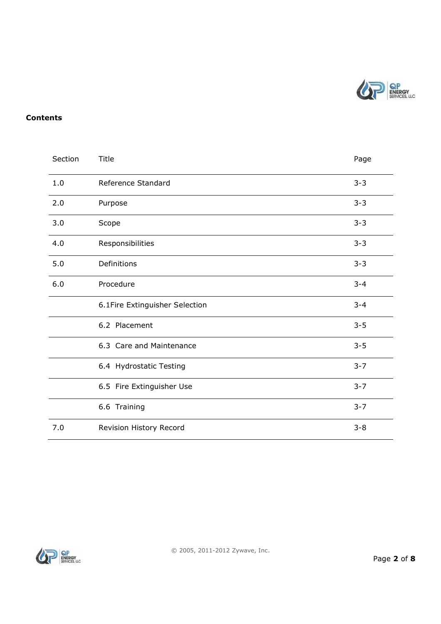

#### **Contents**

| Section | Title                          |         |  |
|---------|--------------------------------|---------|--|
| 1.0     | Reference Standard             | $3 - 3$ |  |
| 2.0     | Purpose                        |         |  |
| 3.0     | Scope                          |         |  |
| 4.0     | Responsibilities               |         |  |
| 5.0     | Definitions                    |         |  |
| 6.0     | Procedure                      |         |  |
|         | 6.1Fire Extinguisher Selection | $3 - 4$ |  |
|         | 6.2 Placement                  | $3 - 5$ |  |
|         | 6.3 Care and Maintenance       | $3 - 5$ |  |
|         | 6.4 Hydrostatic Testing        | $3 - 7$ |  |
|         | 6.5 Fire Extinguisher Use      | $3 - 7$ |  |
|         | 6.6 Training                   | $3 - 7$ |  |
| 7.0     | Revision History Record        |         |  |

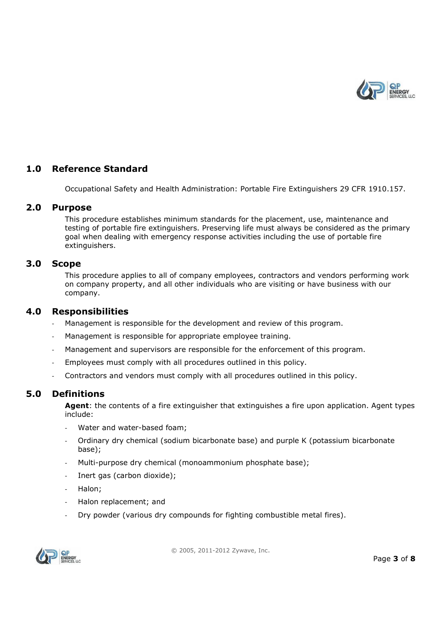

### **1.0 Reference Standard**

Occupational Safety and Health Administration: Portable Fire Extinguishers 29 CFR 1910.157.

#### **2.0 Purpose**

This procedure establishes minimum standards for the placement, use, maintenance and testing of portable fire extinguishers. Preserving life must always be considered as the primary goal when dealing with emergency response activities including the use of portable fire extinguishers.

#### **3.0 Scope**

This procedure applies to all of company employees, contractors and vendors performing work on company property, and all other individuals who are visiting or have business with our company.

#### **4.0 Responsibilities**

- Management is responsible for the development and review of this program.
- Management is responsible for appropriate employee training.
- Management and supervisors are responsible for the enforcement of this program.
- Employees must comply with all procedures outlined in this policy.
- Contractors and vendors must comply with all procedures outlined in this policy.

### **5.0 Definitions**

**Agent**: the contents of a fire extinguisher that extinguishes a fire upon application. Agent types include:

- Water and water-based foam;
- Ordinary dry chemical (sodium bicarbonate base) and purple K (potassium bicarbonate base);
- Multi-purpose dry chemical (monoammonium phosphate base);
- Inert gas (carbon dioxide);
- Halon:
- Halon replacement; and
- Dry powder (various dry compounds for fighting combustible metal fires).



© 2005, 2011-2012 Zywave, Inc.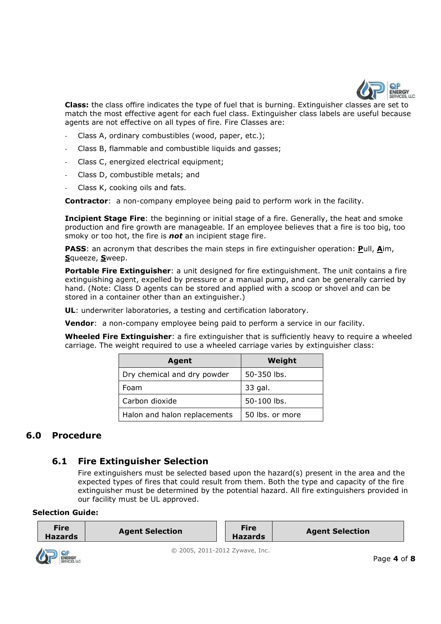

**Class:** the class offire indicates the type of fuel that is burning. Extinguisher classes are set to match the most effective agent for each fuel class. Extinguisher class labels are useful because agents are not effective on all types of fire. Fire Classes are:

- Class A, ordinary combustibles (wood, paper, etc.);
- Class B, flammable and combustible liquids and gasses;
- Class C, energized electrical equipment;
- Class D, combustible metals; and
- Class K, cooking oils and fats.

**Contractor**: a non-company employee being paid to perform work in the facility.

**Incipient Stage Fire**: the beginning or initial stage of a fire. Generally, the heat and smoke production and fire growth are manageable. If an employee believes that a fire is too big, too smoky or too hot, the fire is *not* an incipient stage fire.

**PASS**: an acronym that describes the main steps in fire extinguisher operation: **P**ull, **A**im, **S**queeze, **S**weep.

**Portable Fire Extinguisher**: a unit designed for fire extinguishment. The unit contains a fire extinguishing agent, expelled by pressure or a manual pump, and can be generally carried by hand. (Note: Class D agents can be stored and applied with a scoop or shovel and can be stored in a container other than an extinguisher.)

**UL**: underwriter laboratories, a testing and certification laboratory.

**Vendor**: a non-company employee being paid to perform a service in our facility.

**Wheeled Fire Extinguisher**: a fire extinguisher that is sufficiently heavy to require a wheeled carriage. The weight required to use a wheeled carriage varies by extinguisher class:

| Agent                        | Weight          |
|------------------------------|-----------------|
| Dry chemical and dry powder  | $50 - 350$ lbs. |
| Foam                         | 33 gal.         |
| Carbon dioxide               | 50-100 lbs.     |
| Halon and halon replacements | 50 lbs. or more |

## **6.0 Procedure**

## **6.1 Fire Extinguisher Selection**

Fire extinguishers must be selected based upon the hazard(s) present in the area and the expected types of fires that could result from them. Both the type and capacity of the fire extinguisher must be determined by the potential hazard. All fire extinguishers provided in our facility must be UL approved.

#### **Selection Guide:**

| <b>Fire</b><br><b>Hazards</b> | <b>Agent Selection</b> | <b>Fire</b><br><b>Hazards</b> | <b>Agent Selection</b> |
|-------------------------------|------------------------|-------------------------------|------------------------|
|                               |                        |                               |                        |

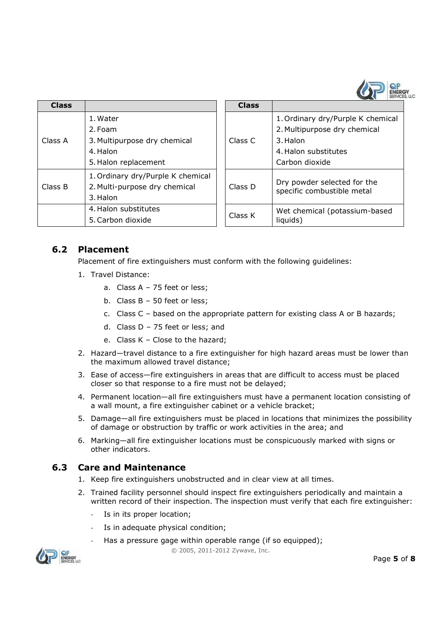

| Class   |                                   | Class   |
|---------|-----------------------------------|---------|
|         | 1. Water                          |         |
|         | 2. Foam                           |         |
| Class A | 3. Multipurpose dry chemical      | Class C |
|         | 4. Halon                          |         |
|         | 5. Halon replacement              |         |
|         | 1. Ordinary dry/Purple K chemical |         |
| Class B | 2. Multi-purpose dry chemical     | Class D |
|         | 3. Halon                          |         |
|         | 4. Halon substitutes              |         |
|         | 5. Carbon dioxide                 | Class K |

|                                                                    | <b>Class</b> |                                           |  |
|--------------------------------------------------------------------|--------------|-------------------------------------------|--|
| 1. Water                                                           |              | 1. Ordinary dry/Purple K chemical         |  |
| 2. Foam                                                            |              | 2. Multipurpose dry chemical              |  |
| 3. Multipurpose dry chemical                                       | Class C      | 3. Halon                                  |  |
| 4. Halon                                                           |              | 4. Halon substitutes                      |  |
| 5. Halon replacement                                               |              | Carbon dioxide                            |  |
| 1. Ordinary dry/Purple K chemical<br>2. Multi-purpose dry chemical | Class D      | Dry powder selected for the               |  |
| 3. Halon                                                           |              | specific combustible metal                |  |
| 4. Halon substitutes<br>5. Carbon dioxide                          | Class K      | Wet chemical (potassium-based<br>liquids) |  |
|                                                                    |              |                                           |  |

### **6.2 Placement**

Placement of fire extinguishers must conform with the following guidelines:

- 1. Travel Distance:
	- a. Class A 75 feet or less;
	- b. Class B 50 feet or less;
	- c. Class C based on the appropriate pattern for existing class A or B hazards;
	- d. Class D 75 feet or less; and
	- e. Class K Close to the hazard;
- 2. Hazard—travel distance to a fire extinguisher for high hazard areas must be lower than the maximum allowed travel distance;
- 3. Ease of access—fire extinguishers in areas that are difficult to access must be placed closer so that response to a fire must not be delayed;
- 4. Permanent location—all fire extinguishers must have a permanent location consisting of a wall mount, a fire extinguisher cabinet or a vehicle bracket;
- 5. Damage—all fire extinguishers must be placed in locations that minimizes the possibility of damage or obstruction by traffic or work activities in the area; and
- 6. Marking—all fire extinguisher locations must be conspicuously marked with signs or other indicators.

### **6.3 Care and Maintenance**

- 1. Keep fire extinguishers unobstructed and in clear view at all times.
- 2. Trained facility personnel should inspect fire extinguishers periodically and maintain a written record of their inspection. The inspection must verify that each fire extinguisher:
	- Is in its proper location:
	- Is in adequate physical condition;
	- Has a pressure gage within operable range (if so equipped);



© 2005, 2011-2012 Zywave, Inc.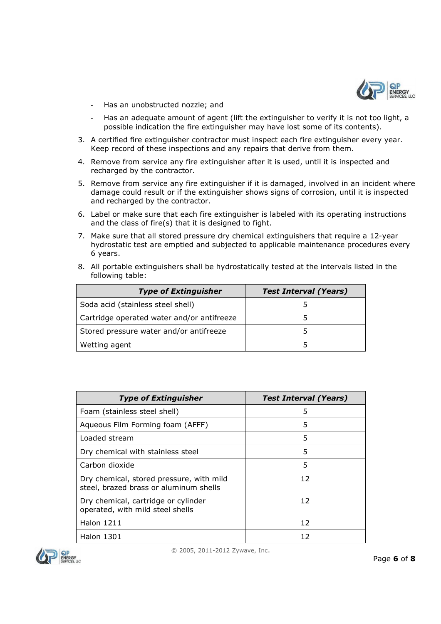

- Has an unobstructed nozzle; and
- Has an adequate amount of agent (lift the extinguisher to verify it is not too light, a possible indication the fire extinguisher may have lost some of its contents).
- 3. A certified fire extinguisher contractor must inspect each fire extinguisher every year. Keep record of these inspections and any repairs that derive from them.
- 4. Remove from service any fire extinguisher after it is used, until it is inspected and recharged by the contractor.
- 5. Remove from service any fire extinguisher if it is damaged, involved in an incident where damage could result or if the extinguisher shows signs of corrosion, until it is inspected and recharged by the contractor.
- 6. Label or make sure that each fire extinguisher is labeled with its operating instructions and the class of fire(s) that it is designed to fight.
- 7. Make sure that all stored pressure dry chemical extinguishers that require a 12-year hydrostatic test are emptied and subjected to applicable maintenance procedures every 6 years.
- 8. All portable extinguishers shall be hydrostatically tested at the intervals listed in the following table:

| <b>Type of Extinguisher</b>                | <b>Test Interval (Years)</b> |
|--------------------------------------------|------------------------------|
| Soda acid (stainless steel shell)          |                              |
| Cartridge operated water and/or antifreeze |                              |
| Stored pressure water and/or antifreeze    |                              |
| Wetting agent                              |                              |

| <b>Type of Extinguisher</b>                                                        | <b>Test Interval (Years)</b> |
|------------------------------------------------------------------------------------|------------------------------|
| Foam (stainless steel shell)                                                       | 5                            |
| Aqueous Film Forming foam (AFFF)                                                   | 5                            |
| Loaded stream                                                                      | 5                            |
| Dry chemical with stainless steel                                                  | 5                            |
| Carbon dioxide                                                                     | 5                            |
| Dry chemical, stored pressure, with mild<br>steel, brazed brass or aluminum shells | 12                           |
| Dry chemical, cartridge or cylinder<br>operated, with mild steel shells            | 12                           |
| <b>Halon 1211</b>                                                                  | 12                           |
| Halon 1301                                                                         | 12                           |

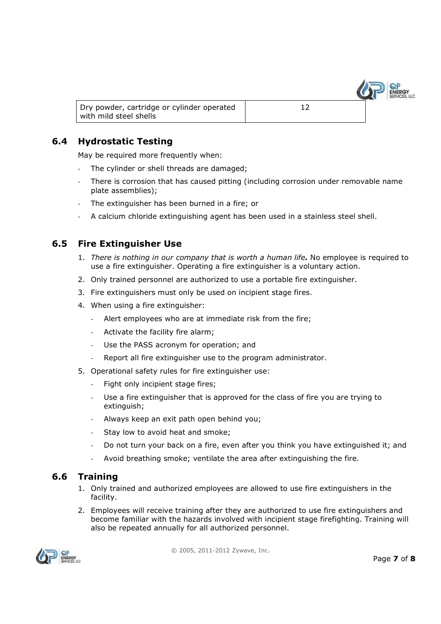

Dry powder, cartridge or cylinder operated with mild steel shells

# **6.4 Hydrostatic Testing**

May be required more frequently when:

- The cylinder or shell threads are damaged;
- There is corrosion that has caused pitting (including corrosion under removable name plate assemblies);

12

- The extinguisher has been burned in a fire; or
- A calcium chloride extinguishing agent has been used in a stainless steel shell.

## **6.5 Fire Extinguisher Use**

- 1. *There is nothing in our company that is worth a human life.* No employee is required to use a fire extinguisher. Operating a fire extinguisher is a voluntary action.
- 2. Only trained personnel are authorized to use a portable fire extinguisher.
- 3. Fire extinguishers must only be used on incipient stage fires.
- 4. When using a fire extinguisher:
	- Alert employees who are at immediate risk from the fire;
	- Activate the facility fire alarm;
	- Use the PASS acronym for operation; and
	- Report all fire extinguisher use to the program administrator.
- 5. Operational safety rules for fire extinguisher use:
	- Fight only incipient stage fires;
	- Use a fire extinguisher that is approved for the class of fire you are trying to extinguish;
	- Always keep an exit path open behind you;
	- Stay low to avoid heat and smoke;
	- Do not turn your back on a fire, even after you think you have extinguished it; and
	- Avoid breathing smoke; ventilate the area after extinguishing the fire.

## **6.6 Training**

- 1. Only trained and authorized employees are allowed to use fire extinguishers in the facility.
- 2. Employees will receive training after they are authorized to use fire extinguishers and become familiar with the hazards involved with incipient stage firefighting. Training will also be repeated annually for all authorized personnel.



© 2005, 2011-2012 Zywave, Inc.